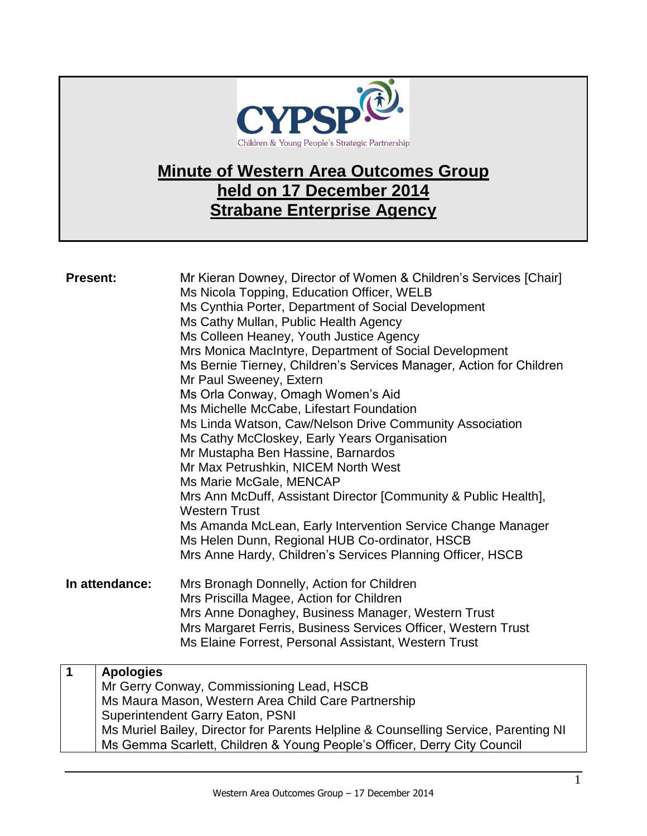

## **Minute of Western Area Outcomes Group held on 17 December 2014 Strabane Enterprise Agency**

| <b>Present:</b> |                  | Mr Kieran Downey, Director of Women & Children's Services [Chair]<br>Ms Nicola Topping, Education Officer, WELB<br>Ms Cynthia Porter, Department of Social Development<br>Ms Cathy Mullan, Public Health Agency<br>Ms Colleen Heaney, Youth Justice Agency<br>Mrs Monica MacIntyre, Department of Social Development<br>Ms Bernie Tierney, Children's Services Manager, Action for Children<br>Mr Paul Sweeney, Extern<br>Ms Orla Conway, Omagh Women's Aid<br>Ms Michelle McCabe, Lifestart Foundation<br>Ms Linda Watson, Caw/Nelson Drive Community Association<br>Ms Cathy McCloskey, Early Years Organisation<br>Mr Mustapha Ben Hassine, Barnardos<br>Mr Max Petrushkin, NICEM North West<br>Ms Marie McGale, MENCAP<br>Mrs Ann McDuff, Assistant Director [Community & Public Health],<br><b>Western Trust</b><br>Ms Amanda McLean, Early Intervention Service Change Manager<br>Ms Helen Dunn, Regional HUB Co-ordinator, HSCB<br>Mrs Anne Hardy, Children's Services Planning Officer, HSCB |
|-----------------|------------------|------------------------------------------------------------------------------------------------------------------------------------------------------------------------------------------------------------------------------------------------------------------------------------------------------------------------------------------------------------------------------------------------------------------------------------------------------------------------------------------------------------------------------------------------------------------------------------------------------------------------------------------------------------------------------------------------------------------------------------------------------------------------------------------------------------------------------------------------------------------------------------------------------------------------------------------------------------------------------------------------------|
| In attendance:  |                  | Mrs Bronagh Donnelly, Action for Children<br>Mrs Priscilla Magee, Action for Children<br>Mrs Anne Donaghey, Business Manager, Western Trust<br>Mrs Margaret Ferris, Business Services Officer, Western Trust<br>Ms Elaine Forrest, Personal Assistant, Western Trust                                                                                                                                                                                                                                                                                                                                                                                                                                                                                                                                                                                                                                                                                                                                 |
| $\mathbf 1$     | <b>Apologies</b> | Mr Gerry Conway, Commissioning Lead, HSCB<br>Ms Maura Mason, Western Area Child Care Partnership<br><b>Superintendent Garry Eaton, PSNI</b>                                                                                                                                                                                                                                                                                                                                                                                                                                                                                                                                                                                                                                                                                                                                                                                                                                                          |
|                 |                  | Ms Muriel Bailey, Director for Parents Helpline & Counselling Service, Parenting NI<br>Ms Gemma Scarlett, Children & Young People's Officer, Derry City Council                                                                                                                                                                                                                                                                                                                                                                                                                                                                                                                                                                                                                                                                                                                                                                                                                                      |

Western Area Outcomes Group – 17 December 2014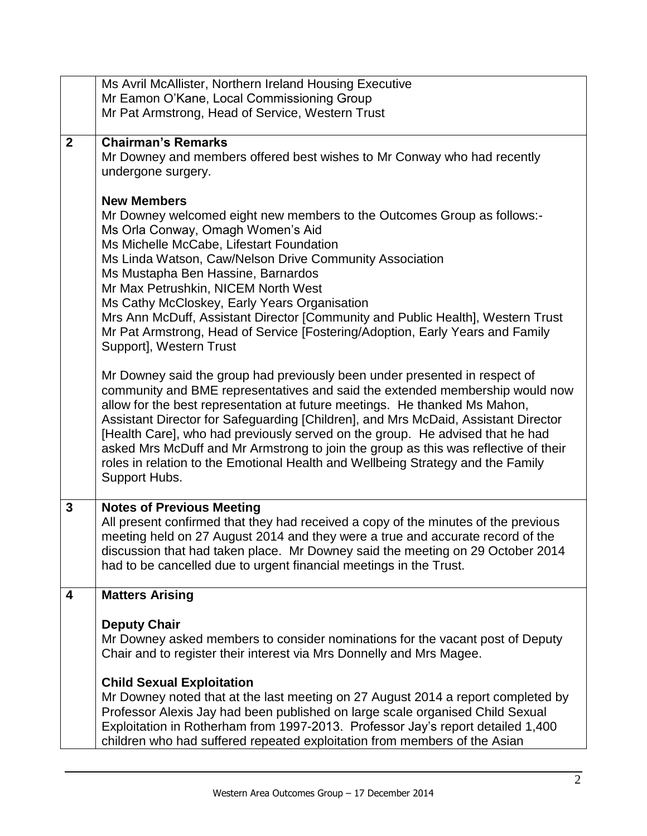|              | Ms Avril McAllister, Northern Ireland Housing Executive                                                                                                             |
|--------------|---------------------------------------------------------------------------------------------------------------------------------------------------------------------|
|              | Mr Eamon O'Kane, Local Commissioning Group                                                                                                                          |
|              | Mr Pat Armstrong, Head of Service, Western Trust                                                                                                                    |
| $\mathbf{2}$ | <b>Chairman's Remarks</b>                                                                                                                                           |
|              | Mr Downey and members offered best wishes to Mr Conway who had recently                                                                                             |
|              | undergone surgery.                                                                                                                                                  |
|              |                                                                                                                                                                     |
|              | <b>New Members</b>                                                                                                                                                  |
|              | Mr Downey welcomed eight new members to the Outcomes Group as follows:-                                                                                             |
|              | Ms Orla Conway, Omagh Women's Aid<br>Ms Michelle McCabe, Lifestart Foundation                                                                                       |
|              | Ms Linda Watson, Caw/Nelson Drive Community Association                                                                                                             |
|              | Ms Mustapha Ben Hassine, Barnardos                                                                                                                                  |
|              | Mr Max Petrushkin, NICEM North West                                                                                                                                 |
|              | Ms Cathy McCloskey, Early Years Organisation                                                                                                                        |
|              | Mrs Ann McDuff, Assistant Director [Community and Public Health], Western Trust<br>Mr Pat Armstrong, Head of Service [Fostering/Adoption, Early Years and Family    |
|              | Support], Western Trust                                                                                                                                             |
|              |                                                                                                                                                                     |
|              | Mr Downey said the group had previously been under presented in respect of                                                                                          |
|              | community and BME representatives and said the extended membership would now                                                                                        |
|              | allow for the best representation at future meetings. He thanked Ms Mahon,                                                                                          |
|              | Assistant Director for Safeguarding [Children], and Mrs McDaid, Assistant Director<br>[Health Care], who had previously served on the group. He advised that he had |
|              | asked Mrs McDuff and Mr Armstrong to join the group as this was reflective of their                                                                                 |
|              | roles in relation to the Emotional Health and Wellbeing Strategy and the Family                                                                                     |
|              | Support Hubs.                                                                                                                                                       |
|              |                                                                                                                                                                     |
| 3            | <b>Notes of Previous Meeting</b><br>All present confirmed that they had received a copy of the minutes of the previous                                              |
|              | meeting held on 27 August 2014 and they were a true and accurate record of the                                                                                      |
|              | discussion that had taken place. Mr Downey said the meeting on 29 October 2014                                                                                      |
|              | had to be cancelled due to urgent financial meetings in the Trust.                                                                                                  |
|              |                                                                                                                                                                     |
| 4            | <b>Matters Arising</b>                                                                                                                                              |
|              | <b>Deputy Chair</b>                                                                                                                                                 |
|              | Mr Downey asked members to consider nominations for the vacant post of Deputy                                                                                       |
|              | Chair and to register their interest via Mrs Donnelly and Mrs Magee.                                                                                                |
|              | <b>Child Sexual Exploitation</b>                                                                                                                                    |
|              | Mr Downey noted that at the last meeting on 27 August 2014 a report completed by                                                                                    |
|              | Professor Alexis Jay had been published on large scale organised Child Sexual                                                                                       |
|              | Exploitation in Rotherham from 1997-2013. Professor Jay's report detailed 1,400                                                                                     |
|              | children who had suffered repeated exploitation from members of the Asian                                                                                           |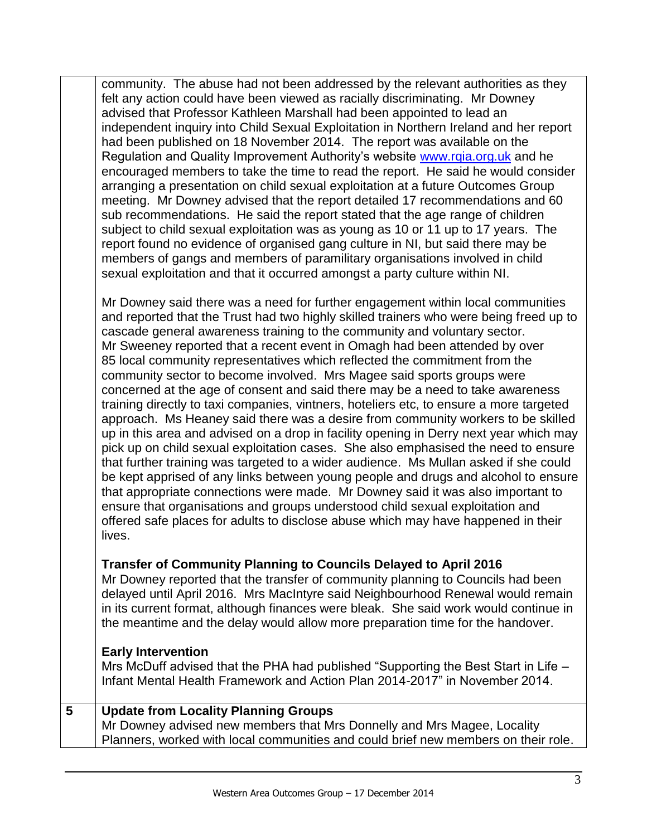community. The abuse had not been addressed by the relevant authorities as they felt any action could have been viewed as racially discriminating. Mr Downey advised that Professor Kathleen Marshall had been appointed to lead an independent inquiry into Child Sexual Exploitation in Northern Ireland and her report had been published on 18 November 2014. The report was available on the Regulation and Quality Improvement Authority's website [www.rqia.org.uk](http://www.rqia.org.uk/) and he encouraged members to take the time to read the report. He said he would consider arranging a presentation on child sexual exploitation at a future Outcomes Group meeting. Mr Downey advised that the report detailed 17 recommendations and 60 sub recommendations. He said the report stated that the age range of children subject to child sexual exploitation was as young as 10 or 11 up to 17 years. The report found no evidence of organised gang culture in NI, but said there may be members of gangs and members of paramilitary organisations involved in child sexual exploitation and that it occurred amongst a party culture within NI.

Mr Downey said there was a need for further engagement within local communities and reported that the Trust had two highly skilled trainers who were being freed up to cascade general awareness training to the community and voluntary sector. Mr Sweeney reported that a recent event in Omagh had been attended by over 85 local community representatives which reflected the commitment from the community sector to become involved. Mrs Magee said sports groups were concerned at the age of consent and said there may be a need to take awareness training directly to taxi companies, vintners, hoteliers etc, to ensure a more targeted approach. Ms Heaney said there was a desire from community workers to be skilled up in this area and advised on a drop in facility opening in Derry next year which may pick up on child sexual exploitation cases. She also emphasised the need to ensure that further training was targeted to a wider audience. Ms Mullan asked if she could be kept apprised of any links between young people and drugs and alcohol to ensure that appropriate connections were made. Mr Downey said it was also important to ensure that organisations and groups understood child sexual exploitation and offered safe places for adults to disclose abuse which may have happened in their lives.

## **Transfer of Community Planning to Councils Delayed to April 2016**

Mr Downey reported that the transfer of community planning to Councils had been delayed until April 2016. Mrs MacIntyre said Neighbourhood Renewal would remain in its current format, although finances were bleak. She said work would continue in the meantime and the delay would allow more preparation time for the handover.

## **Early Intervention**

Mrs McDuff advised that the PHA had published "Supporting the Best Start in Life – Infant Mental Health Framework and Action Plan 2014-2017" in November 2014.

## **5 Update from Locality Planning Groups** Mr Downey advised new members that Mrs Donnelly and Mrs Magee, Locality Planners, worked with local communities and could brief new members on their role.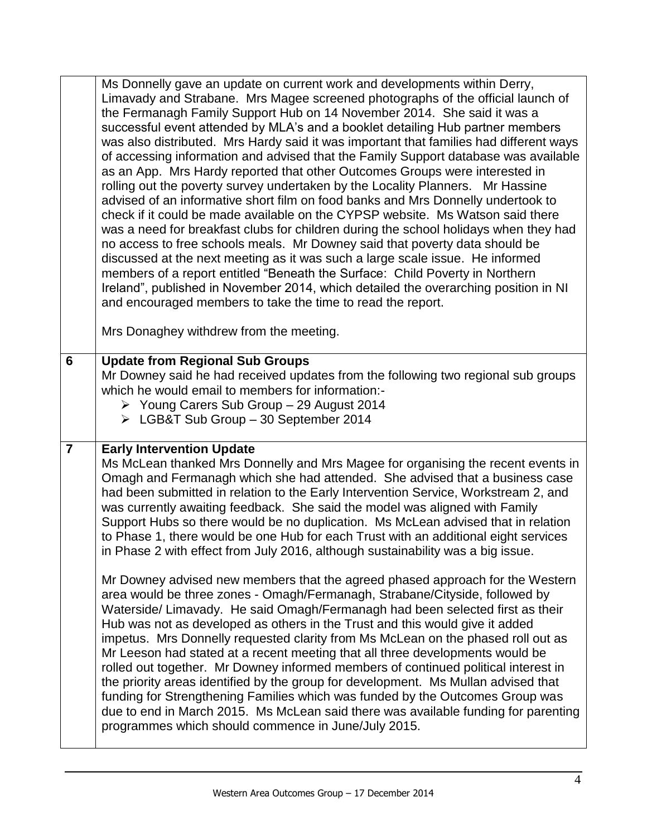|                | Ms Donnelly gave an update on current work and developments within Derry,<br>Limavady and Strabane. Mrs Magee screened photographs of the official launch of<br>the Fermanagh Family Support Hub on 14 November 2014. She said it was a<br>successful event attended by MLA's and a booklet detailing Hub partner members<br>was also distributed. Mrs Hardy said it was important that families had different ways<br>of accessing information and advised that the Family Support database was available<br>as an App. Mrs Hardy reported that other Outcomes Groups were interested in<br>rolling out the poverty survey undertaken by the Locality Planners. Mr Hassine<br>advised of an informative short film on food banks and Mrs Donnelly undertook to<br>check if it could be made available on the CYPSP website. Ms Watson said there<br>was a need for breakfast clubs for children during the school holidays when they had<br>no access to free schools meals. Mr Downey said that poverty data should be<br>discussed at the next meeting as it was such a large scale issue. He informed<br>members of a report entitled "Beneath the Surface: Child Poverty in Northern<br>Ireland", published in November 2014, which detailed the overarching position in NI<br>and encouraged members to take the time to read the report.<br>Mrs Donaghey withdrew from the meeting. |
|----------------|--------------------------------------------------------------------------------------------------------------------------------------------------------------------------------------------------------------------------------------------------------------------------------------------------------------------------------------------------------------------------------------------------------------------------------------------------------------------------------------------------------------------------------------------------------------------------------------------------------------------------------------------------------------------------------------------------------------------------------------------------------------------------------------------------------------------------------------------------------------------------------------------------------------------------------------------------------------------------------------------------------------------------------------------------------------------------------------------------------------------------------------------------------------------------------------------------------------------------------------------------------------------------------------------------------------------------------------------------------------------------------------------|
| 6              | <b>Update from Regional Sub Groups</b>                                                                                                                                                                                                                                                                                                                                                                                                                                                                                                                                                                                                                                                                                                                                                                                                                                                                                                                                                                                                                                                                                                                                                                                                                                                                                                                                                     |
|                | Mr Downey said he had received updates from the following two regional sub groups                                                                                                                                                                                                                                                                                                                                                                                                                                                                                                                                                                                                                                                                                                                                                                                                                                                                                                                                                                                                                                                                                                                                                                                                                                                                                                          |
|                | which he would email to members for information:-                                                                                                                                                                                                                                                                                                                                                                                                                                                                                                                                                                                                                                                                                                                                                                                                                                                                                                                                                                                                                                                                                                                                                                                                                                                                                                                                          |
|                | ▶ Young Carers Sub Group - 29 August 2014                                                                                                                                                                                                                                                                                                                                                                                                                                                                                                                                                                                                                                                                                                                                                                                                                                                                                                                                                                                                                                                                                                                                                                                                                                                                                                                                                  |
|                |                                                                                                                                                                                                                                                                                                                                                                                                                                                                                                                                                                                                                                                                                                                                                                                                                                                                                                                                                                                                                                                                                                                                                                                                                                                                                                                                                                                            |
|                | > LGB&T Sub Group - 30 September 2014                                                                                                                                                                                                                                                                                                                                                                                                                                                                                                                                                                                                                                                                                                                                                                                                                                                                                                                                                                                                                                                                                                                                                                                                                                                                                                                                                      |
| $\overline{7}$ | <b>Early Intervention Update</b>                                                                                                                                                                                                                                                                                                                                                                                                                                                                                                                                                                                                                                                                                                                                                                                                                                                                                                                                                                                                                                                                                                                                                                                                                                                                                                                                                           |
|                | Ms McLean thanked Mrs Donnelly and Mrs Magee for organising the recent events in                                                                                                                                                                                                                                                                                                                                                                                                                                                                                                                                                                                                                                                                                                                                                                                                                                                                                                                                                                                                                                                                                                                                                                                                                                                                                                           |
|                | Omagh and Fermanagh which she had attended. She advised that a business case                                                                                                                                                                                                                                                                                                                                                                                                                                                                                                                                                                                                                                                                                                                                                                                                                                                                                                                                                                                                                                                                                                                                                                                                                                                                                                               |
|                | had been submitted in relation to the Early Intervention Service, Workstream 2, and                                                                                                                                                                                                                                                                                                                                                                                                                                                                                                                                                                                                                                                                                                                                                                                                                                                                                                                                                                                                                                                                                                                                                                                                                                                                                                        |
|                | was currently awaiting feedback. She said the model was aligned with Family                                                                                                                                                                                                                                                                                                                                                                                                                                                                                                                                                                                                                                                                                                                                                                                                                                                                                                                                                                                                                                                                                                                                                                                                                                                                                                                |
|                | Support Hubs so there would be no duplication. Ms McLean advised that in relation<br>to Phase 1, there would be one Hub for each Trust with an additional eight services                                                                                                                                                                                                                                                                                                                                                                                                                                                                                                                                                                                                                                                                                                                                                                                                                                                                                                                                                                                                                                                                                                                                                                                                                   |
|                | in Phase 2 with effect from July 2016, although sustainability was a big issue.                                                                                                                                                                                                                                                                                                                                                                                                                                                                                                                                                                                                                                                                                                                                                                                                                                                                                                                                                                                                                                                                                                                                                                                                                                                                                                            |
|                |                                                                                                                                                                                                                                                                                                                                                                                                                                                                                                                                                                                                                                                                                                                                                                                                                                                                                                                                                                                                                                                                                                                                                                                                                                                                                                                                                                                            |
|                | Mr Downey advised new members that the agreed phased approach for the Western                                                                                                                                                                                                                                                                                                                                                                                                                                                                                                                                                                                                                                                                                                                                                                                                                                                                                                                                                                                                                                                                                                                                                                                                                                                                                                              |
|                | area would be three zones - Omagh/Fermanagh, Strabane/Cityside, followed by<br>Waterside/ Limavady. He said Omagh/Fermanagh had been selected first as their                                                                                                                                                                                                                                                                                                                                                                                                                                                                                                                                                                                                                                                                                                                                                                                                                                                                                                                                                                                                                                                                                                                                                                                                                               |
|                | Hub was not as developed as others in the Trust and this would give it added                                                                                                                                                                                                                                                                                                                                                                                                                                                                                                                                                                                                                                                                                                                                                                                                                                                                                                                                                                                                                                                                                                                                                                                                                                                                                                               |
|                | impetus. Mrs Donnelly requested clarity from Ms McLean on the phased roll out as                                                                                                                                                                                                                                                                                                                                                                                                                                                                                                                                                                                                                                                                                                                                                                                                                                                                                                                                                                                                                                                                                                                                                                                                                                                                                                           |
|                | Mr Leeson had stated at a recent meeting that all three developments would be                                                                                                                                                                                                                                                                                                                                                                                                                                                                                                                                                                                                                                                                                                                                                                                                                                                                                                                                                                                                                                                                                                                                                                                                                                                                                                              |
|                | rolled out together. Mr Downey informed members of continued political interest in                                                                                                                                                                                                                                                                                                                                                                                                                                                                                                                                                                                                                                                                                                                                                                                                                                                                                                                                                                                                                                                                                                                                                                                                                                                                                                         |
|                | the priority areas identified by the group for development. Ms Mullan advised that                                                                                                                                                                                                                                                                                                                                                                                                                                                                                                                                                                                                                                                                                                                                                                                                                                                                                                                                                                                                                                                                                                                                                                                                                                                                                                         |
|                | funding for Strengthening Families which was funded by the Outcomes Group was                                                                                                                                                                                                                                                                                                                                                                                                                                                                                                                                                                                                                                                                                                                                                                                                                                                                                                                                                                                                                                                                                                                                                                                                                                                                                                              |
|                | due to end in March 2015. Ms McLean said there was available funding for parenting<br>programmes which should commence in June/July 2015.                                                                                                                                                                                                                                                                                                                                                                                                                                                                                                                                                                                                                                                                                                                                                                                                                                                                                                                                                                                                                                                                                                                                                                                                                                                  |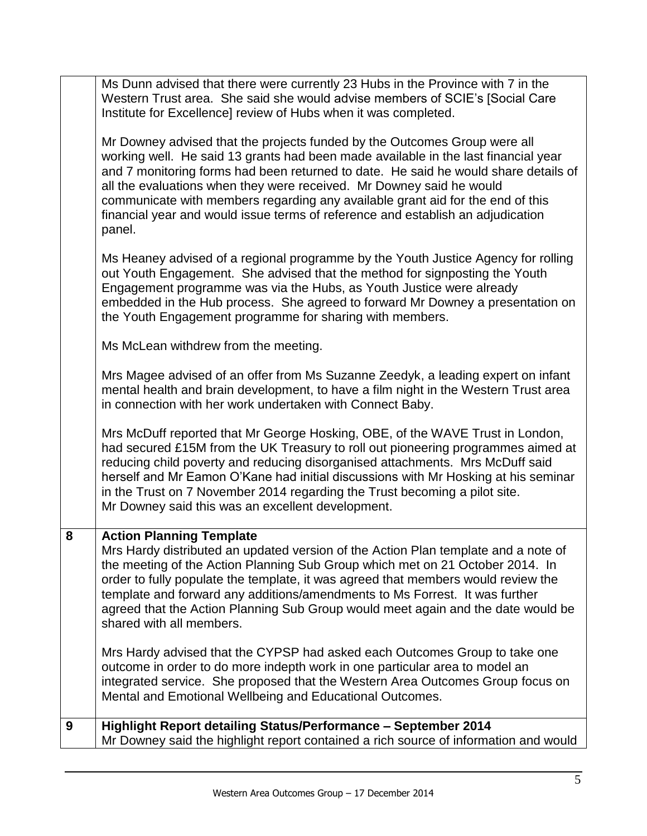|   | Ms Dunn advised that there were currently 23 Hubs in the Province with 7 in the<br>Western Trust area. She said she would advise members of SCIE's [Social Care<br>Institute for Excellence] review of Hubs when it was completed.<br>Mr Downey advised that the projects funded by the Outcomes Group were all                                                                                                                                                                            |
|---|--------------------------------------------------------------------------------------------------------------------------------------------------------------------------------------------------------------------------------------------------------------------------------------------------------------------------------------------------------------------------------------------------------------------------------------------------------------------------------------------|
|   | working well. He said 13 grants had been made available in the last financial year<br>and 7 monitoring forms had been returned to date. He said he would share details of<br>all the evaluations when they were received. Mr Downey said he would<br>communicate with members regarding any available grant aid for the end of this<br>financial year and would issue terms of reference and establish an adjudication<br>panel.                                                           |
|   | Ms Heaney advised of a regional programme by the Youth Justice Agency for rolling<br>out Youth Engagement. She advised that the method for signposting the Youth<br>Engagement programme was via the Hubs, as Youth Justice were already<br>embedded in the Hub process. She agreed to forward Mr Downey a presentation on<br>the Youth Engagement programme for sharing with members.                                                                                                     |
|   | Ms McLean withdrew from the meeting.                                                                                                                                                                                                                                                                                                                                                                                                                                                       |
|   | Mrs Magee advised of an offer from Ms Suzanne Zeedyk, a leading expert on infant<br>mental health and brain development, to have a film night in the Western Trust area<br>in connection with her work undertaken with Connect Baby.                                                                                                                                                                                                                                                       |
|   | Mrs McDuff reported that Mr George Hosking, OBE, of the WAVE Trust in London,<br>had secured £15M from the UK Treasury to roll out pioneering programmes aimed at<br>reducing child poverty and reducing disorganised attachments. Mrs McDuff said<br>herself and Mr Eamon O'Kane had initial discussions with Mr Hosking at his seminar<br>in the Trust on 7 November 2014 regarding the Trust becoming a pilot site.<br>Mr Downey said this was an excellent development.                |
| 8 | <b>Action Planning Template</b><br>Mrs Hardy distributed an updated version of the Action Plan template and a note of<br>the meeting of the Action Planning Sub Group which met on 21 October 2014. In<br>order to fully populate the template, it was agreed that members would review the<br>template and forward any additions/amendments to Ms Forrest. It was further<br>agreed that the Action Planning Sub Group would meet again and the date would be<br>shared with all members. |
|   | Mrs Hardy advised that the CYPSP had asked each Outcomes Group to take one<br>outcome in order to do more indepth work in one particular area to model an<br>integrated service. She proposed that the Western Area Outcomes Group focus on<br>Mental and Emotional Wellbeing and Educational Outcomes.                                                                                                                                                                                    |
| 9 | Highlight Report detailing Status/Performance - September 2014<br>Mr Downey said the highlight report contained a rich source of information and would                                                                                                                                                                                                                                                                                                                                     |